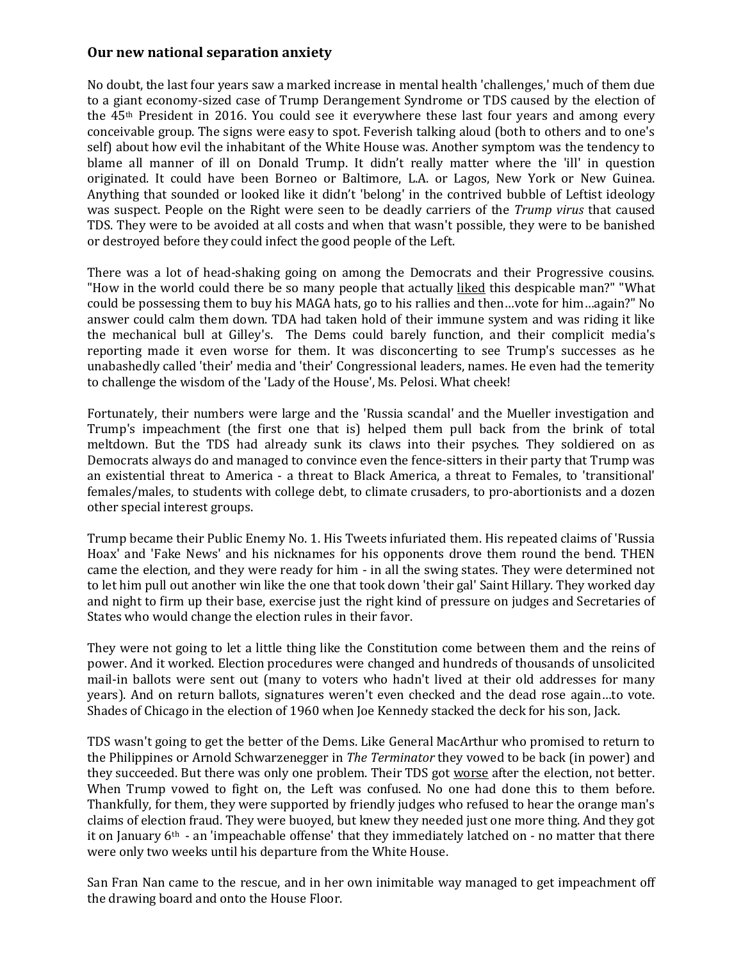## **Our new national separation anxiety**

No doubt, the last four years saw a marked increase in mental health 'challenges,' much of them due to a giant economy-sized case of Trump Derangement Syndrome or TDS caused by the election of the 45th President in 2016. You could see it everywhere these last four years and among every conceivable group. The signs were easy to spot. Feverish talking aloud (both to others and to one's self) about how evil the inhabitant of the White House was. Another symptom was the tendency to blame all manner of ill on Donald Trump. It didn't really matter where the 'ill' in question originated. It could have been Borneo or Baltimore, L.A. or Lagos, New York or New Guinea. Anything that sounded or looked like it didn't 'belong' in the contrived bubble of Leftist ideology was suspect. People on the Right were seen to be deadly carriers of the *Trump virus* that caused TDS. They were to be avoided at all costs and when that wasn't possible, they were to be banished or destroyed before they could infect the good people of the Left.

There was a lot of head-shaking going on among the Democrats and their Progressive cousins. "How in the world could there be so many people that actually liked this despicable man?" "What could be possessing them to buy his MAGA hats, go to his rallies and then…vote for him…again?" No answer could calm them down. TDA had taken hold of their immune system and was riding it like the mechanical bull at Gilley's. The Dems could barely function, and their complicit media's reporting made it even worse for them. It was disconcerting to see Trump's successes as he unabashedly called 'their' media and 'their' Congressional leaders, names. He even had the temerity to challenge the wisdom of the 'Lady of the House', Ms. Pelosi. What cheek!

Fortunately, their numbers were large and the 'Russia scandal' and the Mueller investigation and Trump's impeachment (the first one that is) helped them pull back from the brink of total meltdown. But the TDS had already sunk its claws into their psyches. They soldiered on as Democrats always do and managed to convince even the fence-sitters in their party that Trump was an existential threat to America - a threat to Black America, a threat to Females, to 'transitional' females/males, to students with college debt, to climate crusaders, to pro-abortionists and a dozen other special interest groups.

Trump became their Public Enemy No. 1. His Tweets infuriated them. His repeated claims of 'Russia Hoax' and 'Fake News' and his nicknames for his opponents drove them round the bend. THEN came the election, and they were ready for him - in all the swing states. They were determined not to let him pull out another win like the one that took down 'their gal' Saint Hillary. They worked day and night to firm up their base, exercise just the right kind of pressure on judges and Secretaries of States who would change the election rules in their favor.

They were not going to let a little thing like the Constitution come between them and the reins of power. And it worked. Election procedures were changed and hundreds of thousands of unsolicited mail-in ballots were sent out (many to voters who hadn't lived at their old addresses for many years). And on return ballots, signatures weren't even checked and the dead rose again…to vote. Shades of Chicago in the election of 1960 when Joe Kennedy stacked the deck for his son, Jack.

TDS wasn't going to get the better of the Dems. Like General MacArthur who promised to return to the Philippines or Arnold Schwarzenegger in *The Terminator* they vowed to be back (in power) and they succeeded. But there was only one problem. Their TDS got worse after the election, not better. When Trump vowed to fight on, the Left was confused. No one had done this to them before. Thankfully, for them, they were supported by friendly judges who refused to hear the orange man's claims of election fraud. They were buoyed, but knew they needed just one more thing. And they got it on January  $6<sup>th</sup>$  - an 'impeachable offense' that they immediately latched on - no matter that there were only two weeks until his departure from the White House.

San Fran Nan came to the rescue, and in her own inimitable way managed to get impeachment off the drawing board and onto the House Floor.